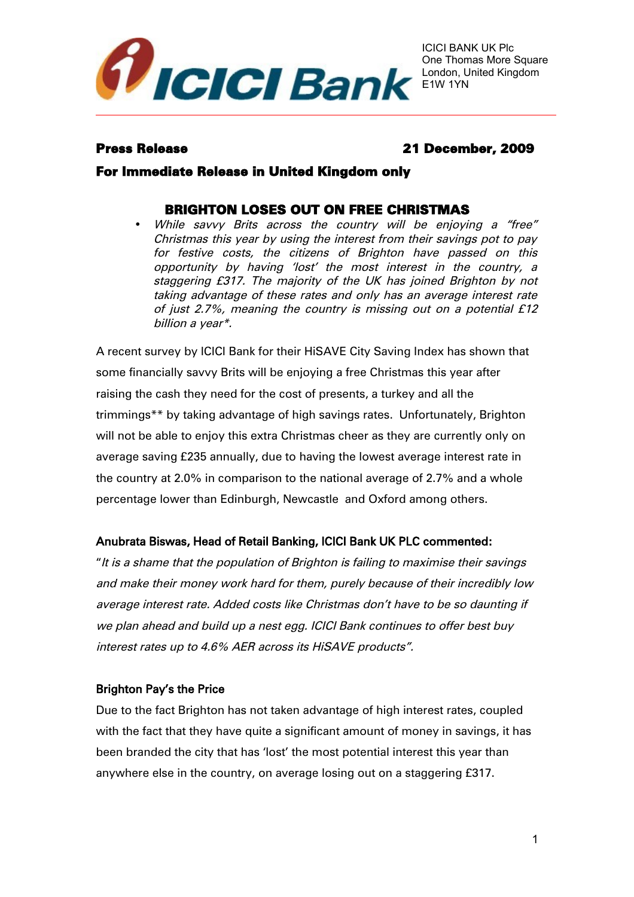

# Press Release 21 December, 2009

## For Immediate Release in United Kingdom only

# BRIGHTON LOSES OUT ON FREE CHRISTMAS

• While savvy Brits across the country will be enjoying <sup>a</sup> "free" Christmas this year by using the interest from their savings pot to pay for festive costs, the citizens of Brighton have passed on this opportunity by having 'lost' the most interest in the country, <sup>a</sup> staggering £317. The majority of the UK has joined Brighton by not taking advantage of these rates and only has an average interest rate of just 2.7%, meaning the country is missing out on a potential £12 billion a year\*.

A recent survey by ICICI Bank for their HiSAVE City Saving Index has shown that some financially savvy Brits will be enjoying a free Christmas this year after raising the cash they need for the cost of presents, a turkey and all the trimmings\*\* by taking advantage of high savings rates. Unfortunately, Brighton will not be able to enjoy this extra Christmas cheer as they are currently only on average saving £235 annually, due to having the lowest average interest rate in the country at 2.0% in comparison to the national average of 2.7% and a whole percentage lower than Edinburgh, Newcastle and Oxford among others.

## Anubrata Biswas, Head of Retail Banking, ICICI Bank UK PLC commented:

"It is a shame that the population of Brighton is failing to maximise their savings and make their money work hard for them, purely because of their incredibly low average interest rate. Added costs like Christmas don't have to be so daunting if we plan ahead and build up a nest egg. ICICI Bank continues to offer best buy interest rates up to 4.6% AER across its HiSAVE products".

## Brighton Pay's the Price

Due to the fact Brighton has not taken advantage of high interest rates, coupled with the fact that they have quite a significant amount of money in savings, it has been branded the city that has 'lost' the most potential interest this year than anywhere else in the country, on average losing out on a staggering £317.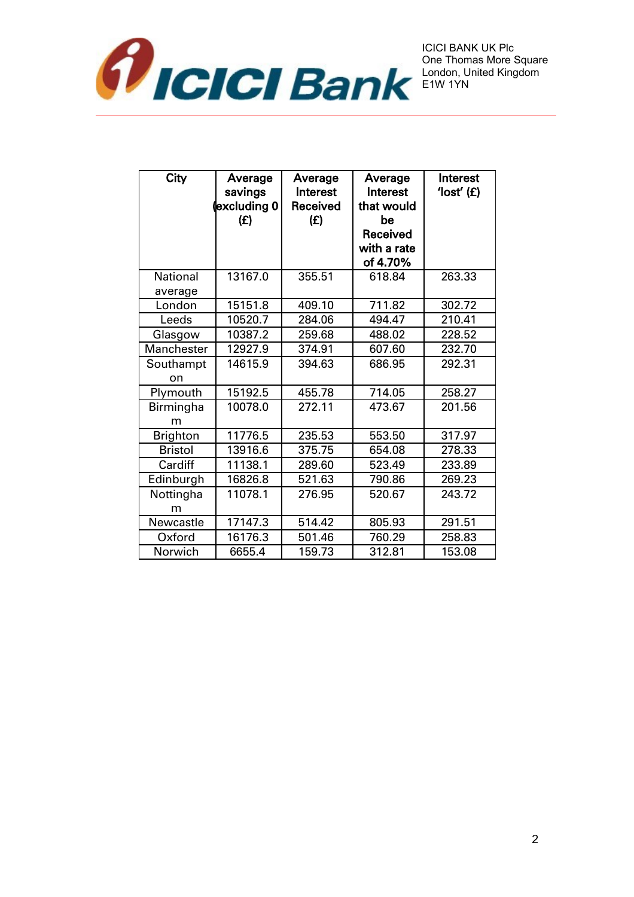

| City            | Average<br>savings<br>excluding 0 <br>(E) | Average<br>Interest<br>Received<br>(E) | Average<br>Interest<br>that would<br>be<br>Received<br>with a rate<br>of 4.70% | Interest<br>$'$ lost' $(E)$ |
|-----------------|-------------------------------------------|----------------------------------------|--------------------------------------------------------------------------------|-----------------------------|
| <b>National</b> | 13167.0                                   | 355.51                                 | 618.84                                                                         | 263.33                      |
| average         |                                           |                                        |                                                                                |                             |
| London          | 15151.8                                   | 409.10                                 | 711.82                                                                         | 302.72                      |
| Leeds           | 10520.7                                   | 284.06                                 | 494.47                                                                         | 210.41                      |
| Glasgow         | 10387.2                                   | 259.68                                 | 488.02                                                                         | 228.52                      |
| Manchester      | 12927.9                                   | 374.91                                 | 607.60                                                                         | 232.70                      |
| Southampt<br>on | 14615.9                                   | 394.63                                 | 686.95                                                                         | 292.31                      |
| Plymouth        | 15192.5                                   | 455.78                                 | 714.05                                                                         | 258.27                      |
| Birmingha<br>m  | 10078.0                                   | 272.11                                 | 473.67                                                                         | 201.56                      |
| <b>Brighton</b> | 11776.5                                   | 235.53                                 | 553.50                                                                         | 317.97                      |
| <b>Bristol</b>  | 13916.6                                   | 375.75                                 | 654.08                                                                         | 278.33                      |
| Cardiff         | 11138.1                                   | 289.60                                 | 523.49                                                                         | 233.89                      |
| Edinburgh       | 16826.8                                   | 521.63                                 | 790.86                                                                         | 269.23                      |
| Nottingha<br>m  | 11078.1                                   | 276.95                                 | 520.67                                                                         | 243.72                      |
| Newcastle       | 17147.3                                   | 514.42                                 | 805.93                                                                         | 291.51                      |
| Oxford          | 16176.3                                   | 501.46                                 | 760.29                                                                         | 258.83                      |
| Norwich         | 6655.4                                    | 159.73                                 | 312.81                                                                         | 153.08                      |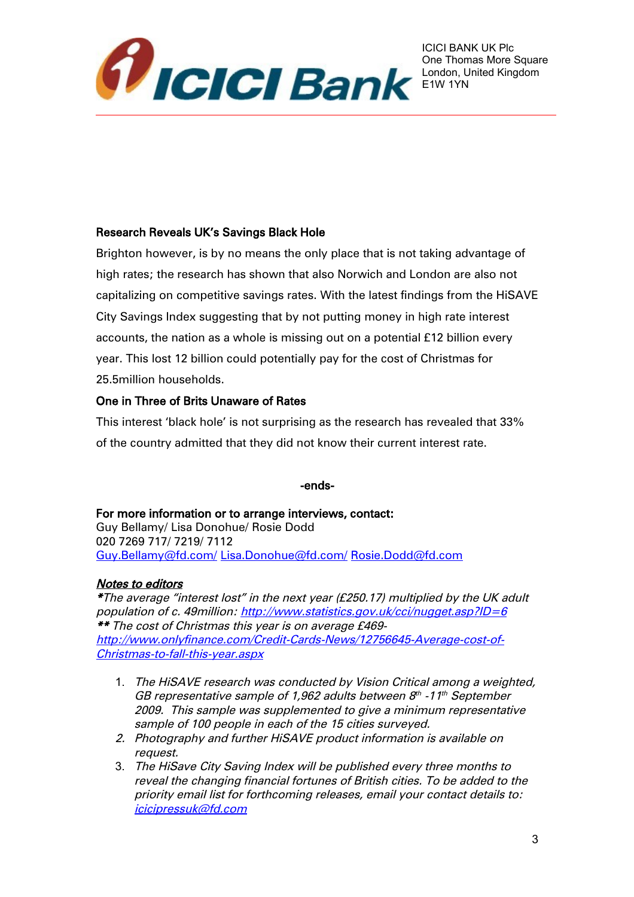

## Research Reveals UK's Savings Black Hole

Brighton however, is by no means the only place that is not taking advantage of high rates; the research has shown that also Norwich and London are also not capitalizing on competitive savings rates. With the latest findings from the HiSAVE City Savings Index suggesting that by not putting money in high rate interest accounts, the nation as a whole is missing out on a potential £12 billion every year. This lost 12 billion could potentially pay for the cost of Christmas for 25.5million households.

## One in Three of Brits Unaware of Rates

This interest 'black hole' is not surprising as the research has revealed that 33% of the country admitted that they did not know their current interest rate.

#### -ends-

For more information or to arrange interviews, contact: Guy Bellamy/ Lisa Donohue/ Rosie Dodd 020 7269 717/ 7219/ 7112 [Guy.Bellamy@fd.com/](mailto:Guy.Bellamy@fd.com/) [Lisa.Donohue@fd.com/](mailto:Lisa.Donohue@fd.com/) [Rosie.Dodd@fd.com](mailto:Rosie.Dodd@fd.com)

#### Notes to editors

\*The average "interest lost" in the next year (£250.17) multiplied by the UK adult population of c. 49million:<http://www.statistics.gov.uk/cci/nugget.asp?ID=6> \*\* The cost of Christmas this year is on average £469 [http://www.onlyfinance.com/Credit-Cards-News/12756645-Average-cost-of-](http://www.onlyfinance.com/Credit-Cards-News/12756645-Average-cost-of-Christmas-to-fall-this-year.aspx)[Christmas-to-fall-this-year.aspx](http://www.onlyfinance.com/Credit-Cards-News/12756645-Average-cost-of-Christmas-to-fall-this-year.aspx)

- 1. The HiSAVE research was conducted by Vision Critical among a weighted, GB representative sample of 1,962 adults between  $8<sup>th</sup>$  -11<sup>th</sup> September 2009. This sample was supplemented to give a minimum representative sample of 100 people in each of the 15 cities surveyed.
- 2. Photography and further HiSAVE product information is available on request.
- 3. The HiSave City Saving Index will be published every three months to reveal the changing financial fortunes of British cities. To be added to the priority email list for forthcoming releases, email your contact details to: [icicipressuk@fd.com](mailto:icicipressuk@fd.com)